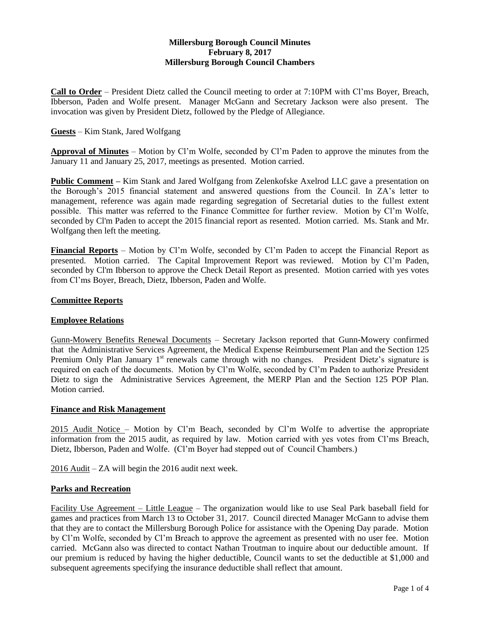# **Millersburg Borough Council Minutes February 8, 2017 Millersburg Borough Council Chambers**

**Call to Order** – President Dietz called the Council meeting to order at 7:10PM with Cl'ms Boyer, Breach, Ibberson, Paden and Wolfe present. Manager McGann and Secretary Jackson were also present. The invocation was given by President Dietz, followed by the Pledge of Allegiance.

### **Guests** – Kim Stank, Jared Wolfgang

**Approval of Minutes** – Motion by Cl'm Wolfe, seconded by Cl'm Paden to approve the minutes from the January 11 and January 25, 2017, meetings as presented. Motion carried.

**Public Comment –** Kim Stank and Jared Wolfgang from Zelenkofske Axelrod LLC gave a presentation on the Borough's 2015 financial statement and answered questions from the Council. In ZA's letter to management, reference was again made regarding segregation of Secretarial duties to the fullest extent possible. This matter was referred to the Finance Committee for further review. Motion by Cl'm Wolfe, seconded by Cl'm Paden to accept the 2015 financial report as resented. Motion carried. Ms. Stank and Mr. Wolfgang then left the meeting.

**Financial Reports** – Motion by Cl'm Wolfe, seconded by Cl'm Paden to accept the Financial Report as presented. Motion carried. The Capital Improvement Report was reviewed. Motion by Cl'm Paden, seconded by Cl'm Ibberson to approve the Check Detail Report as presented. Motion carried with yes votes from Cl'ms Boyer, Breach, Dietz, Ibberson, Paden and Wolfe.

### **Committee Reports**

### **Employee Relations**

Gunn-Mowery Benefits Renewal Documents – Secretary Jackson reported that Gunn-Mowery confirmed that the Administrative Services Agreement, the Medical Expense Reimbursement Plan and the Section 125 Premium Only Plan January  $1<sup>st</sup>$  renewals came through with no changes. President Dietz's signature is required on each of the documents. Motion by Cl'm Wolfe, seconded by Cl'm Paden to authorize President Dietz to sign the Administrative Services Agreement, the MERP Plan and the Section 125 POP Plan. Motion carried.

### **Finance and Risk Management**

2015 Audit Notice – Motion by Cl'm Beach, seconded by Cl'm Wolfe to advertise the appropriate information from the 2015 audit, as required by law. Motion carried with yes votes from Cl'ms Breach, Dietz, Ibberson, Paden and Wolfe. (Cl'm Boyer had stepped out of Council Chambers.)

2016 Audit – ZA will begin the 2016 audit next week.

#### **Parks and Recreation**

Facility Use Agreement – Little League – The organization would like to use Seal Park baseball field for games and practices from March 13 to October 31, 2017. Council directed Manager McGann to advise them that they are to contact the Millersburg Borough Police for assistance with the Opening Day parade. Motion by Cl'm Wolfe, seconded by Cl'm Breach to approve the agreement as presented with no user fee. Motion carried. McGann also was directed to contact Nathan Troutman to inquire about our deductible amount. If our premium is reduced by having the higher deductible, Council wants to set the deductible at \$1,000 and subsequent agreements specifying the insurance deductible shall reflect that amount.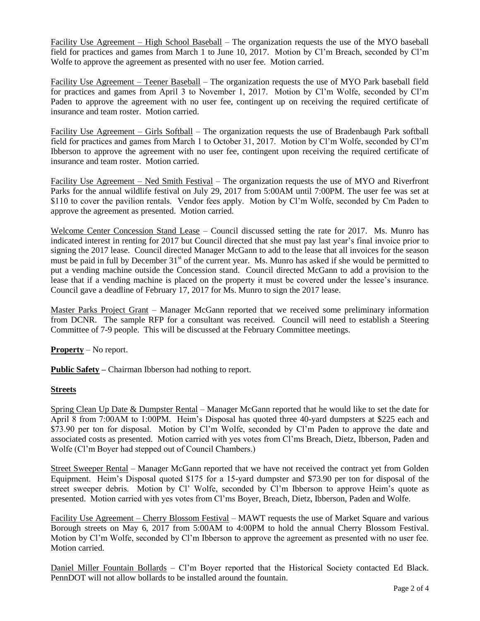Facility Use Agreement – High School Baseball – The organization requests the use of the MYO baseball field for practices and games from March 1 to June 10, 2017. Motion by Cl'm Breach, seconded by Cl'm Wolfe to approve the agreement as presented with no user fee. Motion carried.

Facility Use Agreement – Teener Baseball – The organization requests the use of MYO Park baseball field for practices and games from April 3 to November 1, 2017. Motion by Cl'm Wolfe, seconded by Cl'm Paden to approve the agreement with no user fee, contingent up on receiving the required certificate of insurance and team roster. Motion carried.

Facility Use Agreement – Girls Softball – The organization requests the use of Bradenbaugh Park softball field for practices and games from March 1 to October 31, 2017. Motion by Cl'm Wolfe, seconded by Cl'm Ibberson to approve the agreement with no user fee, contingent upon receiving the required certificate of insurance and team roster. Motion carried.

Facility Use Agreement – Ned Smith Festival – The organization requests the use of MYO and Riverfront Parks for the annual wildlife festival on July 29, 2017 from 5:00AM until 7:00PM. The user fee was set at \$110 to cover the pavilion rentals. Vendor fees apply. Motion by Cl'm Wolfe, seconded by Cm Paden to approve the agreement as presented. Motion carried.

Welcome Center Concession Stand Lease – Council discussed setting the rate for 2017. Ms. Munro has indicated interest in renting for 2017 but Council directed that she must pay last year's final invoice prior to signing the 2017 lease. Council directed Manager McGann to add to the lease that all invoices for the season must be paid in full by December 31<sup>st</sup> of the current year. Ms. Munro has asked if she would be permitted to put a vending machine outside the Concession stand. Council directed McGann to add a provision to the lease that if a vending machine is placed on the property it must be covered under the lessee's insurance. Council gave a deadline of February 17, 2017 for Ms. Munro to sign the 2017 lease.

Master Parks Project Grant – Manager McGann reported that we received some preliminary information from DCNR. The sample RFP for a consultant was received. Council will need to establish a Steering Committee of 7-9 people. This will be discussed at the February Committee meetings.

**Property** – No report.

**Public Safety –** Chairman Ibberson had nothing to report.

### **Streets**

Spring Clean Up Date & Dumpster Rental – Manager McGann reported that he would like to set the date for April 8 from 7:00AM to 1:00PM. Heim's Disposal has quoted three 40-yard dumpsters at \$225 each and \$73.90 per ton for disposal. Motion by Cl'm Wolfe, seconded by Cl'm Paden to approve the date and associated costs as presented. Motion carried with yes votes from Cl'ms Breach, Dietz, Ibberson, Paden and Wolfe (Cl'm Boyer had stepped out of Council Chambers.)

Street Sweeper Rental – Manager McGann reported that we have not received the contract yet from Golden Equipment. Heim's Disposal quoted \$175 for a 15-yard dumpster and \$73.90 per ton for disposal of the street sweeper debris. Motion by Cl' Wolfe, seconded by Cl'm Ibberson to approve Heim's quote as presented. Motion carried with yes votes from Cl'ms Boyer, Breach, Dietz, Ibberson, Paden and Wolfe.

Facility Use Agreement – Cherry Blossom Festival – MAWT requests the use of Market Square and various Borough streets on May 6, 2017 from 5:00AM to 4:00PM to hold the annual Cherry Blossom Festival. Motion by Cl'm Wolfe, seconded by Cl'm Ibberson to approve the agreement as presented with no user fee. Motion carried.

Daniel Miller Fountain Bollards – Cl'm Boyer reported that the Historical Society contacted Ed Black. PennDOT will not allow bollards to be installed around the fountain.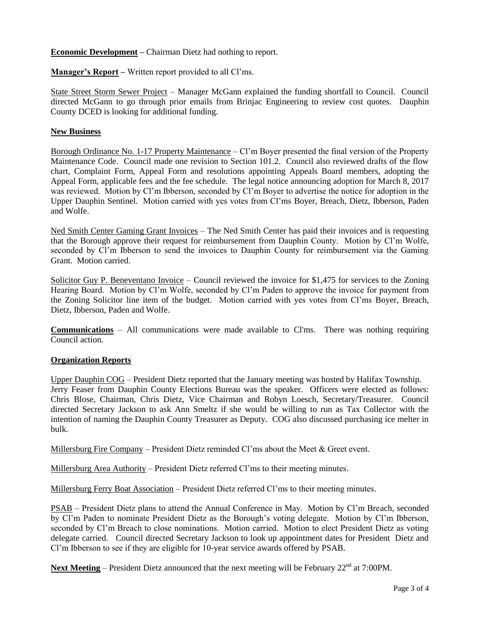**Economic Development –** Chairman Dietz had nothing to report.

**Manager's Report –** Written report provided to all Cl'ms.

State Street Storm Sewer Project – Manager McGann explained the funding shortfall to Council. Council directed McGann to go through prior emails from Brinjac Engineering to review cost quotes. Dauphin County DCED is looking for additional funding.

## **New Business**

Borough Ordinance No. 1-17 Property Maintenance – Cl'm Boyer presented the final version of the Property Maintenance Code. Council made one revision to Section 101.2. Council also reviewed drafts of the flow chart, Complaint Form, Appeal Form and resolutions appointing Appeals Board members, adopting the Appeal Form, applicable fees and the fee schedule. The legal notice announcing adoption for March 8, 2017 was reviewed. Motion by Cl'm Ibberson, seconded by Cl'm Boyer to advertise the notice for adoption in the Upper Dauphin Sentinel. Motion carried with yes votes from Cl'ms Boyer, Breach, Dietz, Ibberson, Paden and Wolfe.

Ned Smith Center Gaming Grant Invoices – The Ned Smith Center has paid their invoices and is requesting that the Borough approve their request for reimbursement from Dauphin County. Motion by Cl'm Wolfe, seconded by Cl'm Ibberson to send the invoices to Dauphin County for reimbursement via the Gaming Grant. Motion carried.

Solicitor Guy P. Beneventano Invoice – Council reviewed the invoice for \$1,475 for services to the Zoning Hearing Board. Motion by Cl'm Wolfe, seconded by Cl'm Paden to approve the invoice for payment from the Zoning Solicitor line item of the budget. Motion carried with yes votes from Cl'ms Boyer, Breach, Dietz, Ibberson, Paden and Wolfe.

**Communications** – All communications were made available to Cl'ms. There was nothing requiring Council action.

### **Organization Reports**

Upper Dauphin COG – President Dietz reported that the January meeting was hosted by Halifax Township. Jerry Feaser from Dauphin County Elections Bureau was the speaker. Officers were elected as follows: Chris Blose, Chairman, Chris Dietz, Vice Chairman and Robyn Loesch, Secretary/Treasurer. Council directed Secretary Jackson to ask Ann Smeltz if she would be willing to run as Tax Collector with the intention of naming the Dauphin County Treasurer as Deputy. COG also discussed purchasing ice melter in bulk.

Millersburg Fire Company – President Dietz reminded Cl'ms about the Meet & Greet event.

Millersburg Area Authority – President Dietz referred Cl'ms to their meeting minutes.

Millersburg Ferry Boat Association – President Dietz referred Cl'ms to their meeting minutes.

PSAB – President Dietz plans to attend the Annual Conference in May. Motion by Cl'm Breach, seconded by Cl'm Paden to nominate President Dietz as the Borough's voting delegate. Motion by Cl'm Ibberson, seconded by Cl'm Breach to close nominations. Motion carried. Motion to elect President Dietz as voting delegate carried. Council directed Secretary Jackson to look up appointment dates for President Dietz and Cl'm Ibberson to see if they are eligible for 10-year service awards offered by PSAB.

Next Meeting – President Dietz announced that the next meeting will be February 22<sup>nd</sup> at 7:00PM.